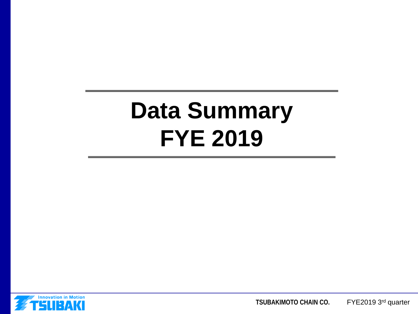# **Data Summary FYE 2019**



**TSUBAKIMOTO CHAIN CO.** FYE2019 3rd quarter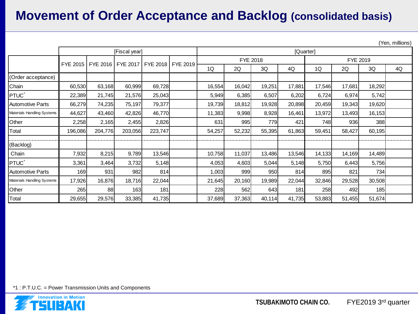# **Movement of Order Acceptance and Backlog (consolidated basis)**

(Yen, millions)

|                            | [Fiscal year]                                        |         |         |         |  |        | [Quarter] |        |        |          |        |        |    |  |
|----------------------------|------------------------------------------------------|---------|---------|---------|--|--------|-----------|--------|--------|----------|--------|--------|----|--|
|                            | FYE 2015   FYE 2016   FYE 2017   FYE 2018   FYE 2019 |         |         |         |  |        | FYE 2018  |        |        | FYE 2019 |        |        |    |  |
|                            |                                                      |         |         |         |  | 1Q     | 2Q        | 3Q     | 4Q     | 1Q       | 2Q     | 3Q     | 4Q |  |
| (Order acceptance)         |                                                      |         |         |         |  |        |           |        |        |          |        |        |    |  |
| Chain                      | 60,530                                               | 63,168  | 60,999  | 69,728  |  | 16,554 | 16,042    | 19,251 | 17,881 | 17,546   | 17,681 | 18,292 |    |  |
| PTUC <sup>*</sup>          | 22,389                                               | 21,745  | 21,576  | 25,043  |  | 5,949  | 6,385     | 6,507  | 6,202  | 6,724    | 6,974  | 5,742  |    |  |
| <b>Automotive Parts</b>    | 66,279                                               | 74,235  | 75,197  | 79,377  |  | 19,739 | 18,812    | 19,928 | 20,898 | 20,459   | 19,343 | 19,620 |    |  |
| Materials Handling Systems | 44,627                                               | 43,460  | 42,826  | 46,770  |  | 11,383 | 9,998     | 8,928  | 16,461 | 13,972   | 13,493 | 16,153 |    |  |
| Other                      | 2,258                                                | 2,165   | 2,455   | 2,826   |  | 631    | 995       | 779    | 421    | 748      | 936    | 388    |    |  |
| Total                      | 196,086                                              | 204,776 | 203,056 | 223,747 |  | 54,257 | 52,232    | 55,395 | 61,863 | 59,451   | 58,427 | 60,195 |    |  |
| (Backlog)                  |                                                      |         |         |         |  |        |           |        |        |          |        |        |    |  |
| Chain                      | 7,932                                                | 8,215   | 9,789   | 13,546  |  | 10,758 | 11,037    | 13,486 | 13,546 | 14,133   | 14,169 | 14,489 |    |  |
| PTUC <sup>*</sup>          | 3,361                                                | 3,464   | 3,732   | 5,148   |  | 4,053  | 4,603     | 5,044  | 5,148  | 5,750    | 6,443  | 5,756  |    |  |
| <b>Automotive Parts</b>    | 169                                                  | 931     | 982     | 814     |  | 1,003  | 999       | 950    | 814    | 895      | 821    | 734    |    |  |
| Materials Handling Systems | 17,926                                               | 16,876  | 18,716  | 22,044  |  | 21,645 | 20,160    | 19,989 | 22,044 | 32,846   | 29,528 | 30,508 |    |  |
| Other                      | 265                                                  | 88      | 163     | 181     |  | 228    | 562       | 643I   | 181    | 258      | 492    | 185    |    |  |
| Total                      | 29,655                                               | 29,576  | 33,385  | 41,735  |  | 37,689 | 37,363    | 40,114 | 41,735 | 53,883   | 51,455 | 51,674 |    |  |

\*1 : P.T.U.C. = Power Transmission Units and Components

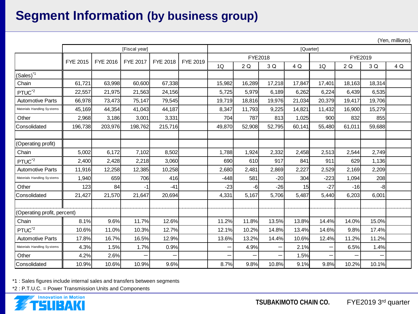# **Segment Information (by business group)**

(Yen, millions)

|                             | [Fiscal year] |          |                 |                          |          |         | ,,<br>[Quarter] |        |        |         |        |        |     |  |
|-----------------------------|---------------|----------|-----------------|--------------------------|----------|---------|-----------------|--------|--------|---------|--------|--------|-----|--|
|                             |               |          |                 |                          |          | FYE2018 |                 |        |        | FYE2019 |        |        |     |  |
|                             | FYE 2015      | FYE 2016 | <b>FYE 2017</b> | FYE 2018                 | FYE 2019 | 1Q      | 2Q              | 3 Q    | 4 Q    | 1Q      | 2Q     | 3 Q    | 4 Q |  |
| $(Sales)^{1}$               |               |          |                 |                          |          |         |                 |        |        |         |        |        |     |  |
| Chain                       | 61,721        | 63,998   | 60,600          | 67,338                   |          | 15,982  | 16,289          | 17,218 | 17,847 | 17,401  | 18,163 | 18,314 |     |  |
| PTUC <sup>*2</sup>          | 22,557        | 21,975   | 21,563          | 24,156                   |          | 5,725   | 5,979           | 6,189  | 6,262  | 6,224   | 6,439  | 6,535  |     |  |
| <b>Automotive Parts</b>     | 66,978        | 73,473   | 75.147          | 79,545                   |          | 19,719  | 18.816          | 19,976 | 21,034 | 20,379  | 19,417 | 19.706 |     |  |
| Materials Handling Systems  | 45,169        | 44,354   | 41.043          | 44,187                   |          | 8,347   | 11.793          | 9,225  | 14,821 | 11,432  | 16,900 | 15,279 |     |  |
| Other                       | 2,968         | 3,186    | 3,001           | 3,331                    |          | 704     | 787             | 813    | 1,025  | 900     | 832    | 855    |     |  |
| Consolidated                | 196,738       | 203,976  | 198,762         | 215,716                  |          | 49,870  | 52,908          | 52,795 | 60,141 | 55,480  | 61,011 | 59,688 |     |  |
|                             |               |          |                 |                          |          |         |                 |        |        |         |        |        |     |  |
| (Operating profit)          |               |          |                 |                          |          |         |                 |        |        |         |        |        |     |  |
| Chain                       | 5,002         | 6,172    | 7,102           | 8,502                    |          | 1,788   | 1,924           | 2,332  | 2,458  | 2,513   | 2,544  | 2,749  |     |  |
| PTUC <sup>*2</sup>          | 2,400         | 2,428    | 2,218           | 3,060                    |          | 690     | 610             | 917    | 841    | 911     | 629    | 1,136  |     |  |
| <b>Automotive Parts</b>     | 11,916        | 12,258   | 12,385          | 10,258                   |          | 2,680   | 2,481           | 2,869  | 2,227  | 2,529   | 2,169  | 2,209  |     |  |
| Materials Handling Systems  | 1,940         | 659      | 706             | 416                      |          | -448    | 581             | $-20$  | 304    | $-223$  | 1,094  | 208    |     |  |
| Other                       | 123           | 84       | -1              | $-41$                    |          | $-23$   | -6              | $-26$  | 15     | $-27$   | $-16$  | $-8$   |     |  |
| Consolidated                | 21,427        | 21,570   | 21,647          | 20,694                   |          | 4,331   | 5,167           | 5,706  | 5,487  | 5,440   | 6,203  | 6,001  |     |  |
|                             |               |          |                 |                          |          |         |                 |        |        |         |        |        |     |  |
| (Operating profit, percent) |               |          |                 |                          |          |         |                 |        |        |         |        |        |     |  |
| Chain                       | 8.1%          | 9.6%     | 11.7%           | 12.6%                    |          | 11.2%   | 11.8%           | 13.5%  | 13.8%  | 14.4%   | 14.0%  | 15.0%  |     |  |
| PTUC <sup>*2</sup>          | 10.6%         | 11.0%    | 10.3%           | 12.7%                    |          | 12.1%   | 10.2%           | 14.8%  | 13.4%  | 14.6%   | 9.8%   | 17.4%  |     |  |
| <b>Automotive Parts</b>     | 17.8%         | 16.7%    | 16.5%           | 12.9%                    |          | 13.6%   | 13.2%           | 14.4%  | 10.6%  | 12.4%   | 11.2%  | 11.2%  |     |  |
| Materials Handling Systems  | 4.3%          | 1.5%     | 1.7%            | 0.9%                     |          | —       | 4.9%            |        | 2.1%   | —       | 6.5%   | 1.4%   |     |  |
| Other                       | 4.2%          | 2.6%     |                 | $\overline{\phantom{0}}$ |          | —       |                 | —      | 1.5%   | —       | —      |        |     |  |
| Consolidated                | 10.9%         | 10.6%    | 10.9%           | 9.6%                     |          | 8.7%    | 9.8%            | 10.8%  | 9.1%   | 9.8%    | 10.2%  | 10.1%  |     |  |

\*1 : Sales figures include internal sales and transfers between segments

\*2 : P.T.U.C. = Power Transmission Units and Components



**TSUBAKIMOTO CHAIN CO.** FYE2019 3rd quarter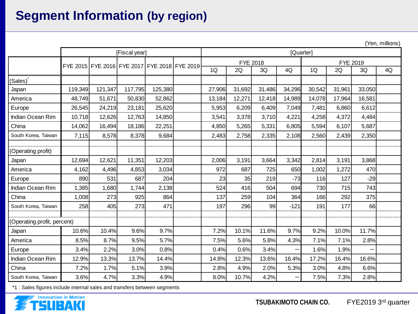# **Segment Information (by region)**

(Yen, millions)

|                             | [Fiscal year] |                                              |         |          |  |        | [Quarter] |          |        |        |        |        |    |
|-----------------------------|---------------|----------------------------------------------|---------|----------|--|--------|-----------|----------|--------|--------|--------|--------|----|
|                             |               | FYE 2015 FYE 2016 FYE 2017 FYE 2018 FYE 2019 |         | FYE 2018 |  |        |           | FYE 2019 |        |        |        |        |    |
|                             |               |                                              |         |          |  | 1Q     | 2Q        | 3Q       | 4Q     | 1Q     | 2Q     | 3Q     | 4Q |
| (Sales)                     |               |                                              |         |          |  |        |           |          |        |        |        |        |    |
| Japan                       | 119,349       | 121,347                                      | 117,795 | 125,380  |  | 27,906 | 31,692    | 31,486   | 34,296 | 30,542 | 31,961 | 33,050 |    |
| America                     | 48,749        | 51,671                                       | 50,830  | 52,862   |  | 13,184 | 12,271    | 12,418   | 14,989 | 14,078 | 17,964 | 16,581 |    |
| Europe                      | 26,545        | 24,219                                       | 23,181  | 25,620   |  | 5,953  | 6,209     | 6,409    | 7,049  | 7,481  | 6,860  | 6,612  |    |
| Indian Ocean Rim            | 10,718        | 12,626                                       | 12,763  | 14,850   |  | 3,541  | 3,378     | 3,710    | 4,221  | 4,258  | 4,372  | 4,484  |    |
| China                       | 14,062        | 16,494                                       | 18,186  | 22,251   |  | 4,850  | 5,265     | 5,331    | 6,805  | 5,594  | 6,107  | 5,687  |    |
| South Korea, Taiwan         | 7,115         | 8,578                                        | 8,378   | 9,684    |  | 2,483  | 2,758     | 2,335    | 2,108  | 2,560  | 2,439  | 2,350  |    |
| (Operating profit)          |               |                                              |         |          |  |        |           |          |        |        |        |        |    |
| Japan                       | 12,694        | 12,621                                       | 11,351  | 12,203   |  | 2,006  | 3,191     | 3,664    | 3,342  | 2,814  | 3,191  | 3,868  |    |
| America                     | 4,162         | 4,496                                        | 4,853   | 3,034    |  | 972    | 687       | 725      | 650    | 1,002  | 1,272  | 470    |    |
| Europe                      | 890           | 531                                          | 687     | 204      |  | 23     | 35        | 219      | $-73$  | 116    | 127    | $-29$  |    |
| Indian Ocean Rim            | 1,385         | 1,680                                        | 1,744   | 2,138    |  | 524    | 416       | 504      | 694    | 730    | 715    | 743    |    |
| China                       | 1,008         | 273                                          | 925     | 864      |  | 137    | 259       | 104      | 364    | 166    | 292    | 375    |    |
| South Korea. Taiwan         | 258           | 405                                          | 273     | 471      |  | 197    | 296       | 99       | $-121$ | 191    | 177    | 66     |    |
| (Operating profit, percent) |               |                                              |         |          |  |        |           |          |        |        |        |        |    |
| Japan                       | 10.6%         | 10.4%                                        | 9.6%    | 9.7%     |  | 7.2%   | 10.1%     | 11.6%    | 9.7%   | 9.2%   | 10.0%  | 11.7%  |    |
| America                     | 8.5%          | 8.7%                                         | 9.5%    | 5.7%     |  | 7.5%   | 5.6%      | 5.8%     | 4.3%   | 7.1%   | 7.1%   | 2.8%   |    |
| Europe                      | 3.4%          | 2.2%                                         | 3.0%    | 0.8%     |  | 0.4%   | 0.6%      | 3.4%     |        | 1.6%   | 1.9%   |        |    |
| Indian Ocean Rim            | 12.9%         | 13.3%                                        | 13.7%   | 14.4%    |  | 14.8%  | 12.3%     | 13.6%    | 16.4%  | 17.2%  | 16.4%  | 16.6%  |    |
| China                       | 7.2%          | 1.7%                                         | 5.1%    | 3.9%     |  | 2.8%   | 4.9%      | 2.0%     | 5.3%   | 3.0%   | 4.8%   | 6.6%   |    |
| South Korea, Taiwan         | 3.6%          | 4.7%                                         | 3.3%    | 4.9%     |  | 8.0%   | 10.7%     | 4.2%     |        | 7.5%   | 7.3%   | 2.8%   |    |

\*1 : Sales figures include internal sales and transfers between segments

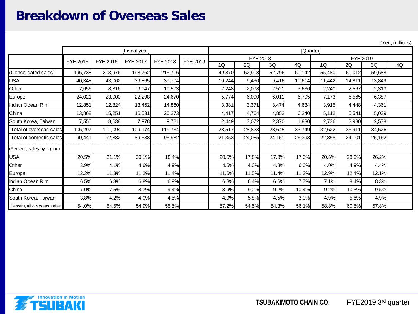#### **Breakdown of Overseas Sales**

(Yen, millions)

|                             | [Fiscal year] |          |          |          |          |                      | [Quarter] |        |        |        |        |        |    |
|-----------------------------|---------------|----------|----------|----------|----------|----------------------|-----------|--------|--------|--------|--------|--------|----|
|                             | FYE 2015      | FYE 2016 | FYE 2017 | FYE 2018 | FYE 2019 | FYE 2018<br>FYE 2019 |           |        |        |        |        |        |    |
|                             |               |          |          |          |          | 1Q                   | 2Q        | 3Q     | 4Q     | 1Q     | 2Q     | 3Q     | 4Q |
| (Consolidated sales)        | 196,738       | 203,976  | 198,762  | 215,716  |          | 49,870               | 52,908    | 52,796 | 60,142 | 55,480 | 61,012 | 59,688 |    |
| <b>USA</b>                  | 40,348        | 43,062   | 39,865   | 39,704   |          | 10,244               | 9,430     | 9,416  | 10,614 | 11,442 | 14,811 | 13,849 |    |
| Other                       | 7,656         | 8,316    | 9,047    | 10,503   |          | 2,248                | 2,098     | 2,521  | 3,636  | 2,240  | 2,567  | 2,313  |    |
| Europe                      | 24,021        | 23,000   | 22,298   | 24,670   |          | 5,774                | 6,090     | 6,011  | 6,795  | 7,173  | 6,565  | 6,387  |    |
| Indian Ocean Rim            | 12,851        | 12,824   | 13,452   | 14,860   |          | 3,381                | 3,371     | 3,474  | 4,634  | 3,915  | 4,448  | 4,361  |    |
| China                       | 13,868        | 15,251   | 16,531   | 20,273   |          | 4,417                | 4,764     | 4,852  | 6,240  | 5,112  | 5,541  | 5,039  |    |
| South Korea, Taiwan         | 7,550         | 8,638    | 7,978    | 9,721    |          | 2,449                | 3,072     | 2,370  | 1,830  | 2,736  | 2,980  | 2,578  |    |
| Total of overseas sales     | 106,297       | 111,094  | 109,174  | 119,734  |          | 28,517               | 28,823    | 28,645 | 33,749 | 32,622 | 36,911 | 34,526 |    |
| Total of domestic sales     | 90,441        | 92,882   | 89,588   | 95,982   |          | 21,353               | 24,085    | 24,151 | 26,393 | 22,858 | 24,101 | 25,162 |    |
| (Percent, sales by region)  |               |          |          |          |          |                      |           |        |        |        |        |        |    |
| <b>USA</b>                  | 20.5%         | 21.1%    | 20.1%    | 18.4%    |          | 20.5%                | 17.8%     | 17.8%  | 17.6%  | 20.6%  | 28.0%  | 26.2%  |    |
| Other                       | 3.9%          | 4.1%     | 4.6%     | 4.9%     |          | 4.5%                 | 4.0%      | 4.8%   | 6.0%   | 4.0%   | 4.9%   | 4.4%   |    |
| Europe                      | 12.2%         | 11.3%    | 11.2%    | 11.4%    |          | 11.6%                | 11.5%     | 11.4%  | 11.3%  | 12.9%  | 12.4%  | 12.1%  |    |
| Indian Ocean Rim            | 6.5%          | 6.3%     | 6.8%     | 6.9%     |          | 6.8%                 | 6.4%      | 6.6%   | 7.7%   | 7.1%   | 8.4%   | 8.3%   |    |
| China                       | 7.0%          | 7.5%     | 8.3%     | 9.4%     |          | 8.9%                 | 9.0%      | 9.2%   | 10.4%  | 9.2%   | 10.5%  | 9.5%   |    |
| South Korea, Taiwan         | 3.8%          | 4.2%     | 4.0%     | 4.5%     |          | 4.9%                 | 5.8%      | 4.5%   | 3.0%   | 4.9%   | 5.6%   | 4.9%   |    |
| Percent, all overseas sales | 54.0%         | 54.5%    | 54.9%    | 55.5%    |          | 57.2%                | 54.5%     | 54.3%  | 56.1%  | 58.8%  | 60.5%  | 57.8%  |    |